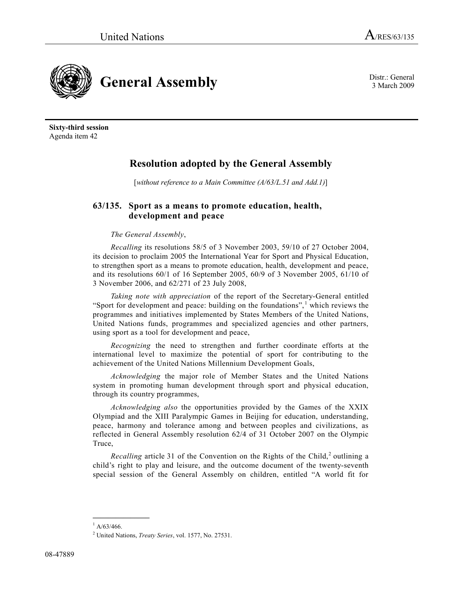3 March 2009



**Sixty-third session** Agenda item 42

## **Resolution adopted by the General Assembly**

[*without reference to a Main Committee (A/63/L.51 and Add.1)*]

## **63/135. Sport as a means to promote education, health, development and peace**

## *The General Assembly*,

*Recalling* its resolutions 58/5 of 3 November 2003, 59/10 of 27 October 2004, its decision to proclaim 2005 the International Year for Sport and Physical Education, to strengthen sport as a means to promote education, health, development and peace, and its resolutions 60/1 of 16 September 2005, 60/9 of 3 November 2005, 61/10 of 3 November 2006, and 62/271 of 23 July 2008,

*Taking note with appreciation* of the report of the Secretary-General entitled "Sport for development and peace: building on the foundations", $\frac{1}{1}$  which reviews the programmes and initiatives implemented by States Members of the United Nations, United Nations funds, programmes and specialized agencies and other partners, using sport as a tool for development and peace,

*Recognizing* the need to strengthen and further coordinate efforts at the international level to maximize the potential of sport for contributing to the achievement of the United Nations Millennium Development Goals,

*Acknowledging* the major role of Member States and the United Nations system in promoting human development through sport and physical education, through its country programmes,

*Acknowledging also* the opportunities provided by the Games of the XXIX Olympiad and the XIII Paralympic Games in Beijing for education, understanding, peace, harmony and tolerance among and between peoples and civilizations, as reflected in General Assembly resolution 62/4 of 31 October 2007 on the Olympic Truce,

Recalling article 31 of the Convention on the Rights of the Child,<sup>2</sup> outlining a child's right to play and leisure, and the outcome document of the twenty-seventh special session of the General Assembly on children, entitled "A world fit for

**\_\_\_\_\_\_\_\_\_\_\_\_\_\_\_**

 $^{1}$  A/63/466.

<sup>2</sup> United Nations, *Treaty Series*, vol. 1577, No. 27531.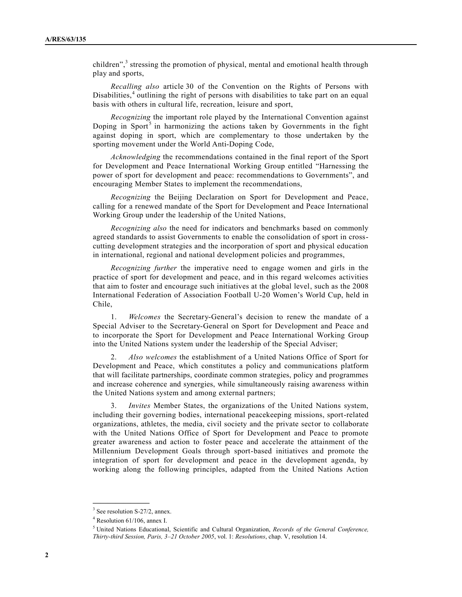children",<sup>3</sup> stressing the promotion of physical, mental and emotional health through play and sports,

*Recalling also* article 30 of the Convention on the Rights of Persons with Disabilities,<sup>4</sup> outlining the right of persons with disabilities to take part on an equal basis with others in cultural life, recreation, leisure and sport,

*Recognizing* the important role played by the International Convention against Doping in Sport<sup>5</sup> in harmonizing the actions taken by Governments in the fight against doping in sport, which are complementary to those undertaken by the sporting movement under the World Anti-Doping Code,

*Acknowledging* the recommendations contained in the final report of the Sport for Development and Peace International Working Group entitled "Harnessing the power of sport for development and peace: recommendations to Governments", and encouraging Member States to implement the recommendations,

*Recognizing* the Beijing Declaration on Sport for Development and Peace, calling for a renewed mandate of the Sport for Development and Peace International Working Group under the leadership of the United Nations,

*Recognizing also* the need for indicators and benchmarks based on commonly agreed standards to assist Governments to enable the consolidation of sport in crosscutting development strategies and the incorporation of sport and physical education in international, regional and national development policies and programmes,

*Recognizing further* the imperative need to engage women and girls in the practice of sport for development and peace, and in this regard welcomes activities that aim to foster and encourage such initiatives at the global level, such as the 2008 International Federation of Association Football U-20 Women's World Cup, held in Chile,

1. *Welcomes* the Secretary-General's decision to renew the mandate of a Special Adviser to the Secretary-General on Sport for Development and Peace and to incorporate the Sport for Development and Peace International Working Group into the United Nations system under the leadership of the Special Adviser;

2. *Also welcomes* the establishment of a United Nations Office of Sport for Development and Peace, which constitutes a policy and communications platform that will facilitate partnerships, coordinate common strategies, policy and programmes and increase coherence and synergies, while simultaneously raising awareness within the United Nations system and among external partners;

3. *Invites* Member States, the organizations of the United Nations system, including their governing bodies, international peacekeeping missions, sport-related organizations, athletes, the media, civil society and the private sector to collaborate with the United Nations Office of Sport for Development and Peace to promote greater awareness and action to foster peace and accelerate the attainment of the Millennium Development Goals through sport-based initiatives and promote the integration of sport for development and peace in the development agenda, by working along the following principles, adapted from the United Nations Action

**\_\_\_\_\_\_\_\_\_\_\_\_\_\_\_**

<sup>&</sup>lt;sup>3</sup> See resolution S-27/2, annex.

<sup>4</sup> Resolution 61/106, annex I.

<sup>5</sup> United Nations Educational, Scientific and Cultural Organization, *Records of the General Conference, Thirty-third Session, Paris, 3–21 October 2005*, vol. 1: *Resolutions*, chap. V, resolution 14.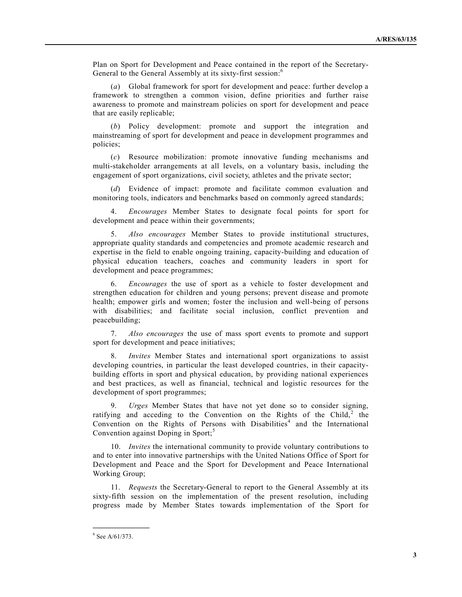Plan on Sport for Development and Peace contained in the report of the Secretary-General to the General Assembly at its sixty-first session:<sup>6</sup>

(*a*) Global framework for sport for development and peace: further develop a framework to strengthen a common vision, define priorities and further raise awareness to promote and mainstream policies on sport for development and peace that are easily replicable;

(*b*) Policy development: promote and support the integration and mainstreaming of sport for development and peace in development programmes and policies;

(*c*) Resource mobilization: promote innovative funding mechanisms and multi-stakeholder arrangements at all levels, on a voluntary basis, including the engagement of sport organizations, civil society, athletes and the private sector;

(*d*) Evidence of impact: promote and facilitate common evaluation and monitoring tools, indicators and benchmarks based on commonly agreed standards;

4. *Encourages* Member States to designate focal points for sport for development and peace within their governments;

5. *Also encourages* Member States to provide institutional structures, appropriate quality standards and competencies and promote academic research and expertise in the field to enable ongoing training, capacity-building and education of physical education teachers, coaches and community leaders in sport for development and peace programmes;

6. *Encourages* the use of sport as a vehicle to foster development and strengthen education for children and young persons; prevent disease and promote health; empower girls and women; foster the inclusion and well-being of persons with disabilities; and facilitate social inclusion, conflict prevention and peacebuilding;

7. *Also encourages* the use of mass sport events to promote and support sport for development and peace initiatives;

8. *Invites* Member States and international sport organizations to assist developing countries, in particular the least developed countries, in their capacitybuilding efforts in sport and physical education, by providing national experiences and best practices, as well as financial, technical and logistic resources for the development of sport programmes;

9. *Urges* Member States that have not yet done so to consider signing, ratifying and acceding to the Convention on the Rights of the Child,<sup>2</sup> the Convention on the Rights of Persons with Disabilities<sup>4</sup> and the International Convention against Doping in Sport; $<sup>5</sup>$ </sup>

10. *Invites* the international community to provide voluntary contributions to and to enter into innovative partnerships with the United Nations Office of Sport for Development and Peace and the Sport for Development and Peace International Working Group;

11. *Requests* the Secretary-General to report to the General Assembly at its sixty-fifth session on the implementation of the present resolution, including progress made by Member States towards implementation of the Sport for

**\_\_\_\_\_\_\_\_\_\_\_\_\_\_\_**

<sup>6</sup> See A/61/373.